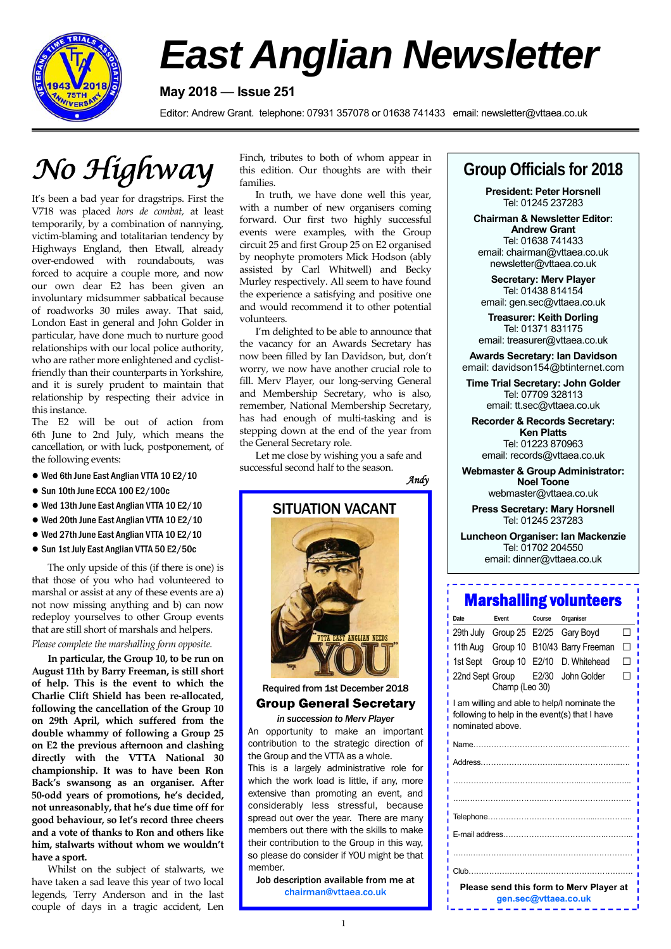

# *East Anglian Newsletter*

#### **May 2018** — **Issue 251**

Editor: Andrew Grant. telephone: 07931 357078 or 01638 741433 email: newsletter@vttaea.co.uk

It's been a bad year for dragstrips. First the V718 was placed *hors de combat,* at least temporarily, by a combination of nannying, victim‐blaming and totalitarian tendency by Highways England, then Etwall, already over‐endowed with roundabouts, was forced to acquire a couple more, and now our own dear E2 has been given an involuntary midsummer sabbatical because of roadworks 30 miles away. That said, London East in general and John Golder in particular, have done much to nurture good relationships with our local police authority, who are rather more enlightened and cyclistfriendly than their counterparts in Yorkshire, and it is surely prudent to maintain that relationship by respecting their advice in this instance.

The E2 will be out of action from 6th June to 2nd July, which means the cancellation, or with luck, postponement, of the following events:

- Wed 6th June East Anglian VTTA 10 E2/10
- Sun 10th June ECCA 100 E2/100c
- Wed 13th June East Anglian VTTA 10 E2/10
- Wed 20th June East Anglian VTTA 10 E2/10
- Wed 27th June East Anglian VTTA 10 E2/10
- Sun 1st July East Anglian VTTA 50 E2/50c

The only upside of this (if there is one) is that those of you who had volunteered to marshal or assist at any of these events are a) not now missing anything and b) can now redeploy yourselves to other Group events that are still short of marshals and helpers. *Please complete the marshalling form opposite.*

**In particular, the Group 10, to be run on August 11th by Barry Freeman, is still short of help. This is the event to which the Charlie Clift Shield has been re‐allocated, following the cancellation of the Group 10 on 29th April, which suffered from the double whammy of following a Group 25 on E2 the previous afternoon and clashing directly with the VTTA National 30 championship. It was to have been Ron Back's swansong as an organiser. After 50‐odd years of promotions, he's decided, not unreasonably, that he's due time off for good behaviour, so let's record three cheers and a vote of thanks to Ron and others like him, stalwarts without whom we wouldn't have a sport.**

Whilst on the subject of stalwarts, we have taken a sad leave this year of two local legends, Terry Anderson and in the last couple of days in a tragic accident, Len

Finch, tributes to both of whom appear in this edition. Our thoughts are with their families.  $N$ <sup>*o*</sup>  $\mathcal{H}$ *ighway* **Einch, tributes to both of whom appear in** Group Officials for 2018

> In truth, we have done well this year, with a number of new organisers coming forward. Our first two highly successful events were examples, with the Group circuit 25 and first Group 25 on E2 organised by neophyte promoters Mick Hodson (ably assisted by Carl Whitwell) and Becky Murley respectively. All seem to have found the experience a satisfying and positive one and would recommend it to other potential volunteers.

> I'm delighted to be able to announce that the vacancy for an Awards Secretary has now been filled by Ian Davidson, but, don't worry, we now have another crucial role to fill. Merv Player, our long‐serving General and Membership Secretary, who is also, remember, National Membership Secretary, has had enough of multi-tasking and is stepping down at the end of the year from the General Secretary role.

Let me close by wishing you a safe and successful second half to the season.





#### Required from 1st December 2018 **Group General Secretary**

*in succession to Merv Player*  An opportunity to make an important contribution to the strategic direction of the Group and the VTTA as a whole. This is a largely administrative role for which the work load is little, if any, more extensive than promoting an event, and considerably less stressful, because spread out over the year. There are many members out there with the skills to make their contribution to the Group in this way, so please do consider if YOU might be that member.

Job description available from me at chairman@vttaea.co.uk

**President: Peter Horsnell**  Tel: 01245 237283

**Chairman & Newsletter Editor: Andrew Grant**  Tel: 01638 741433 email: chairman@vttaea.co.uk newsletter@vttaea.co.uk

**Secretary: Merv Player**  Tel: 01438 814154 email: gen.sec@vttaea.co.uk

**Treasurer: Keith Dorling**  Tel: 01371 831175 email: treasurer@vttaea.co.uk

**Awards Secretary: Ian Davidson**  email: davidson154@btinternet.com

**Time Trial Secretary: John Golder**  Tel: 07709 328113 email: tt.sec@vttaea.co.uk

**Recorder & Records Secretary: Ken Platts** Tel: 01223 870963

email: records@vttaea.co.uk

**Webmaster & Group Administrator: Noel Toone**  webmaster@vttaea.co.uk

**Press Secretary: Mary Horsnell**  Tel: 01245 237283

**Luncheon Organiser: Ian Mackenzie**  Tel: 01702 204550 email: dinner@vttaea.co.uk

### Marshalling volunteers

| Date                                                                                                              | Event    | Course          | Organiser                                    |                      |  |
|-------------------------------------------------------------------------------------------------------------------|----------|-----------------|----------------------------------------------|----------------------|--|
| 29th July                                                                                                         |          |                 | Gary Boyd                                    |                      |  |
| 11th Aug                                                                                                          |          |                 |                                              |                      |  |
| 1st Sept                                                                                                          | Group 10 | E2/10           | D. Whitehead                                 |                      |  |
|                                                                                                                   |          | E2/30           | John Golder                                  |                      |  |
| I am willing and able to help/I nominate the<br>following to help in the event(s) that I have<br>nominated above. |          |                 |                                              |                      |  |
|                                                                                                                   |          |                 |                                              |                      |  |
|                                                                                                                   |          |                 |                                              |                      |  |
|                                                                                                                   |          |                 |                                              |                      |  |
|                                                                                                                   |          |                 |                                              |                      |  |
|                                                                                                                   |          |                 |                                              |                      |  |
|                                                                                                                   |          |                 |                                              |                      |  |
| .                                                                                                                 |          |                 |                                              |                      |  |
|                                                                                                                   |          |                 |                                              |                      |  |
| Please send this form to Merv Player at<br>gen.sec@vttaea.co.uk                                                   |          |                 |                                              |                      |  |
|                                                                                                                   |          | 22nd Sept Group | Group 25 E2/25<br>Group 10<br>Champ (Leo 30) | B10/43 Barry Freeman |  |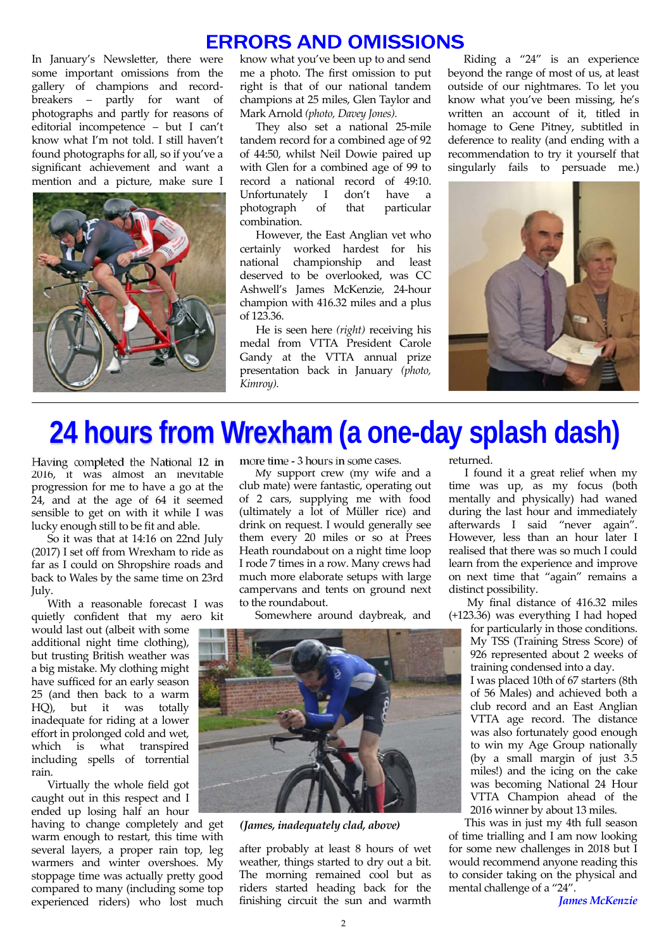### **ERRORS AND OMISSIONS**

In January's Newsletter, there were some important omissions from the gallery of champions and record‐ breakers – partly for want of photographs and partly for reasons of editorial incompetence – but I can't know what I'm not told. I still haven't found photographs for all, so if you've a significant achievement and want a mention and a picture, make sure I



know what you've been up to and send me a photo. The first omission to put right is that of our national tandem champions at 25 miles, Glen Taylor and Mark Arnold *(photo, Davey Jones).*

They also set a national 25‐mile tandem record for a combined age of 92 of 44:50, whilst Neil Dowie paired up with Glen for a combined age of 99 to record a national record of 49:10.<br>Unfortunately I don't have a Unfortunately I don't photograph of that particular combination.

However, the East Anglian vet who certainly worked hardest for his national championship and least deserved to be overlooked, was CC Ashwell's James McKenzie, 24‐hour champion with 416.32 miles and a plus of 123.36.

He is seen here *(right)* receiving his medal from VTTA President Carole Gandy at the VTTA annual prize presentation back in January *(photo, Kimroy).* 

Riding a "24" is an experience beyond the range of most of us, at least outside of our nightmares. To let you know what you've been missing, he's written an account of it, titled in homage to Gene Pitney, subtitled in deference to reality (and ending with a recommendation to try it yourself that singularly fails to persuade me.)



## **24 hours from Wrexham (a one-day splash dash)**

Having completed the National 12 in 2016, it was almost an inevitable progression for me to have a go at the 24, and at the age of 64 it seemed sensible to get on with it while I was lucky enough still to be fit and able.

So it was that at 14:16 on 22nd July (2017) I set off from Wrexham to ride as far as I could on Shropshire roads and back to Wales by the same time on 23rd July.

With a reasonable forecast I was quietly confident that my aero kit

would last out (albeit with some additional night time clothing), but trusting British weather was a big mistake. My clothing might have sufficed for an early season 25 (and then back to a warm HQ), but it was totally inadequate for riding at a lower effort in prolonged cold and wet, which is what transpired including spells of torrential rain.

Virtually the whole field got caught out in this respect and I ended up losing half an hour

having to change completely and get warm enough to restart, this time with several layers, a proper rain top, leg warmers and winter overshoes. My stoppage time was actually pretty good compared to many (including some top experienced riders) who lost much more time ‐ 3 hours in some cases.

My support crew (my wife and a club mate) were fantastic, operating out of 2 cars, supplying me with food (ultimately a lot of Müller rice) and drink on request. I would generally see them every 20 miles or so at Prees Heath roundabout on a night time loop I rode 7 times in a row. Many crews had much more elaborate setups with large campervans and tents on ground next to the roundabout.

Somewhere around daybreak, and



*(James, inadequately clad, above)*

after probably at least 8 hours of wet weather, things started to dry out a bit. The morning remained cool but as riders started heading back for the finishing circuit the sun and warmth

returned.

I found it a great relief when my time was up, as my focus (both mentally and physically) had waned during the last hour and immediately afterwards I said "never again". However, less than an hour later I realised that there was so much I could learn from the experience and improve on next time that "again" remains a distinct possibility.

My final distance of 416.32 miles (+123.36) was everything I had hoped

> for particularly in those conditions. My TSS (Training Stress Score) of 926 represented about 2 weeks of training condensed into a day.

> I was placed 10th of 67 starters (8th of 56 Males) and achieved both a club record and an East Anglian VTTA age record. The distance was also fortunately good enough to win my Age Group nationally (by a small margin of just 3.5 miles!) and the icing on the cake was becoming National 24 Hour VTTA Champion ahead of the 2016 winner by about 13 miles.

This was in just my 4th full season of time trialling and I am now looking for some new challenges in 2018 but I would recommend anyone reading this to consider taking on the physical and mental challenge of a "24".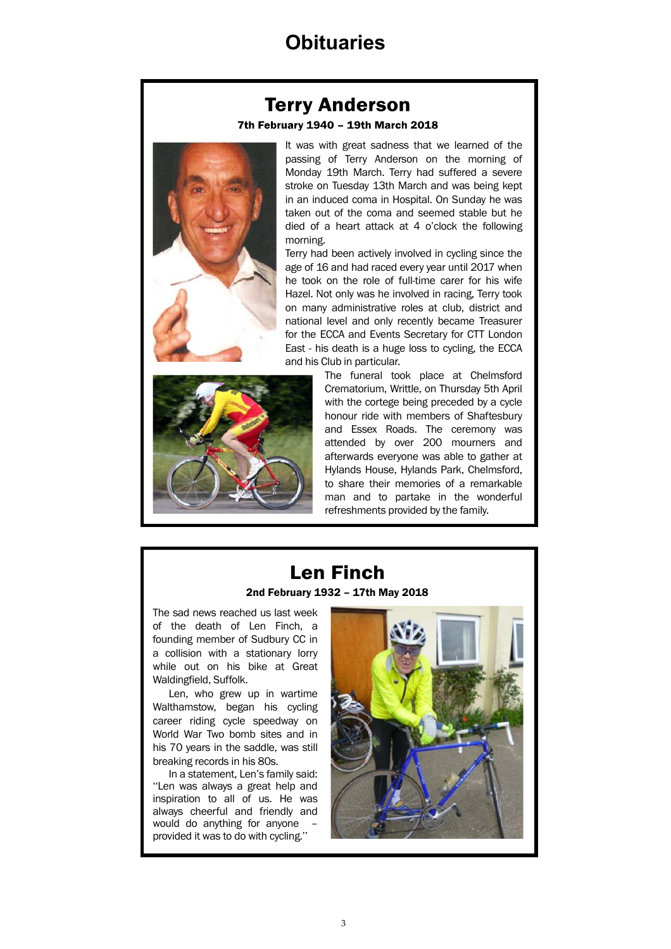### **Obituaries**

### **Terry Anderson**

#### 7th February 1940 - 19th March 2018



It was with great sadness that we learned of the passing of Terry Anderson on the morning of Monday 19th March. Terry had suffered a severe stroke on Tuesday 13th March and was being kept in an induced coma in Hospital. On Sunday he was taken out of the coma and seemed stable but he died of a heart attack at 4 o'clock the following morning.

Terry had been actively involved in cycling since the age of 16 and had raced every year until 2017 when he took on the role of full-time carer for his wife Hazel. Not only was he involved in racing, Terry took on many administrative roles at club, district and national level and only recently became Treasurer for the ECCA and Events Secretary for CTT London East - his death is a huge loss to cycling, the ECCA and his Club in particular.



The funeral took place at Chelmsford Crematorium, Writtle, on Thursday 5th April with the cortege being preceded by a cycle honour ride with members of Shaftesbury and Essex Roads. The ceremony was attended by over 200 mourners and afterwards everyone was able to gather at Hylands House, Hylands Park, Chelmsford, to share their memories of a remarkable man and to partake in the wonderful refreshments provided by the family.

## **Len Finch**

2nd February 1932 – 17th May 2018

The sad news reached us last week of the death of Len Finch, a founding member of Sudbury CC in a collision with a stationary lorry while out on his bike at Great Waldingfield, Suffolk.

Len, who grew up in wartime Walthamstow, began his cycling career riding cycle speedway on World War Two bomb sites and in his 70 years in the saddle, was still breaking records in his 80s.

In a statement, Len's family said: ''Len was always a great help and inspiration to all of us. He was always cheerful and friendly and would do anything for anyone provided it was to do with cycling.''

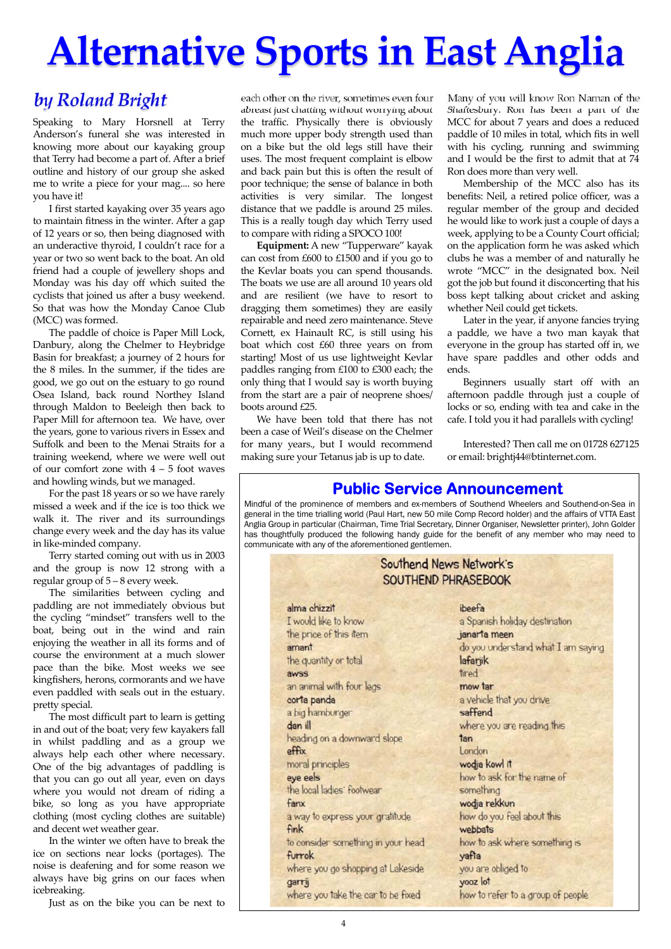# **Alternative Sports in East Anglia**

### *by Roland Bright*

Speaking to Mary Horsnell at Terry Anderson's funeral she was interested in knowing more about our kayaking group that Terry had become a part of. After a brief outline and history of our group she asked me to write a piece for your mag.... so here you have it!

I first started kayaking over 35 years ago to maintain fitness in the winter. After a gap of 12 years or so, then being diagnosed with an underactive thyroid, I couldn't race for a year or two so went back to the boat. An old friend had a couple of jewellery shops and Monday was his day off which suited the cyclists that joined us after a busy weekend. So that was how the Monday Canoe Club (MCC) was formed.

The paddle of choice is Paper Mill Lock, Danbury, along the Chelmer to Heybridge Basin for breakfast; a journey of 2 hours for the 8 miles. In the summer, if the tides are good, we go out on the estuary to go round Osea Island, back round Northey Island through Maldon to Beeleigh then back to Paper Mill for afternoon tea. We have, over the years, gone to various rivers in Essex and Suffolk and been to the Menai Straits for a training weekend, where we were well out of our comfort zone with  $4 - 5$  foot waves and howling winds, but we managed.

For the past 18 years or so we have rarely missed a week and if the ice is too thick we walk it. The river and its surroundings change every week and the day has its value in like‐minded company.

Terry started coming out with us in 2003 and the group is now 12 strong with a regular group of 5 – 8 every week.

The similarities between cycling and paddling are not immediately obvious but the cycling "mindset" transfers well to the boat, being out in the wind and rain enjoying the weather in all its forms and of course the environment at a much slower pace than the bike. Most weeks we see kingfishers, herons, cormorants and we have even paddled with seals out in the estuary. pretty special.

The most difficult part to learn is getting in and out of the boat; very few kayakers fall in whilst paddling and as a group we always help each other where necessary. One of the big advantages of paddling is that you can go out all year, even on days where you would not dream of riding a bike, so long as you have appropriate clothing (most cycling clothes are suitable) and decent wet weather gear.

In the winter we often have to break the ice on sections near locks (portages). The noise is deafening and for some reason we always have big grins on our faces when icebreaking.

Just as on the bike you can be next to

each other on the river, sometimes even four abreast just chatting without worrying about the traffic. Physically there is obviously much more upper body strength used than on a bike but the old legs still have their uses. The most frequent complaint is elbow and back pain but this is often the result of poor technique; the sense of balance in both activities is very similar. The longest distance that we paddle is around 25 miles. This is a really tough day which Terry used to compare with riding a SPOCO 100!

**Equipment:** A new "Tupperware" kayak can cost from £600 to £1500 and if you go to the Kevlar boats you can spend thousands. The boats we use are all around 10 years old and are resilient (we have to resort to dragging them sometimes) they are easily repairable and need zero maintenance. Steve Cornett, ex Hainault RC, is still using his boat which cost £60 three years on from starting! Most of us use lightweight Kevlar paddles ranging from £100 to £300 each; the only thing that I would say is worth buying from the start are a pair of neoprene shoes/ boots around £25.

We have been told that there has not been a case of Weil's disease on the Chelmer for many years., but I would recommend making sure your Tetanus jab is up to date.

Many of you will know Ron Naman of the Shaftesbury. Ron has been a part of the MCC for about 7 years and does a reduced paddle of 10 miles in total, which fits in well with his cycling, running and swimming and I would be the first to admit that at 74 Ron does more than very well.

Membership of the MCC also has its benefits: Neil, a retired police officer, was a regular member of the group and decided he would like to work just a couple of days a week, applying to be a County Court official; on the application form he was asked which clubs he was a member of and naturally he wrote "MCC" in the designated box. Neil got the job but found it disconcerting that his boss kept talking about cricket and asking whether Neil could get tickets.

Later in the year, if anyone fancies trying a paddle, we have a two man kayak that everyone in the group has started off in, we have spare paddles and other odds and ends.

Beginners usually start off with an afternoon paddle through just a couple of locks or so, ending with tea and cake in the cafe. I told you it had parallels with cycling!

Interested? Then call me on 01728 627125 or email: brightj44@btinternet.com.

### **Public Service Announcement**

Mindful of the prominence of members and ex-members of Southend Wheelers and Southend-on-Sea in general in the time trialling world (Paul Hart, new 50 mile Comp Record holder) and the affairs of VTTA East Anglia Group in particular (Chairman, Time Trial Secretary, Dinner Organiser, Newsletter printer), John Golder has thoughtfully produced the following handy guide for the benefit of any member who may need to communicate with any of the aforementioned gentlemen.

| Southend News Network's<br>SOUTHEND PHRASEBOOK |                                    |  |  |  |
|------------------------------------------------|------------------------------------|--|--|--|
| alma chizzit                                   | ibeefa                             |  |  |  |
| I would like to know                           | a Spanish holiday destination      |  |  |  |
| the price of this item                         | janarta meen                       |  |  |  |
| amant                                          | do you understand what I am saying |  |  |  |
| the quantity or total                          | lafarjik                           |  |  |  |
| awss                                           | tired                              |  |  |  |
| an animal with four legs                       | mow tar                            |  |  |  |
| corta panda                                    | a vehicle that you drive           |  |  |  |
| a big hamburger                                | saffend                            |  |  |  |
| dan ill                                        | where you are reading this         |  |  |  |
| heading on a downward slope                    | tan                                |  |  |  |
| effix                                          | London                             |  |  |  |
| moral principles                               | wodja kowl it                      |  |  |  |
| eye eels                                       | how to ask for the name of         |  |  |  |
| the local ladies' footwear                     | something                          |  |  |  |
| fanx                                           | wodja rekkun                       |  |  |  |
| a way to express your gratitude                | how do you feel about this         |  |  |  |
| <b>fink</b>                                    | webbats                            |  |  |  |
| to consider something in your head             | how to ask where something is      |  |  |  |
| furrok                                         | yafta                              |  |  |  |
| where you go shopping at Lakeside              | you are obliged to                 |  |  |  |
| garrij                                         | yooz lot                           |  |  |  |
| where you take the car to be fixed             | how to refer to a group of people  |  |  |  |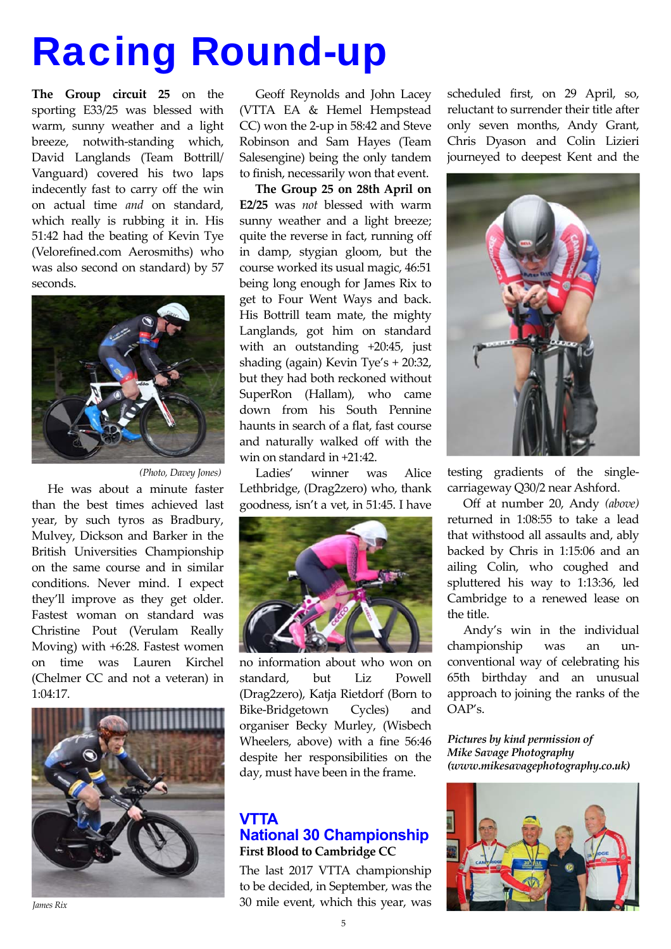# Racing Round-up

**The Group circuit 25** on the sporting E33/25 was blessed with warm, sunny weather and a light breeze, notwith‐standing which, David Langlands (Team Bottrill/ Vanguard) covered his two laps indecently fast to carry off the win on actual time *and* on standard, which really is rubbing it in. His 51:42 had the beating of Kevin Tye (Velorefined.com Aerosmiths) who was also second on standard) by 57 seconds.



*(Photo, Davey Jones)* 

He was about a minute faster than the best times achieved last year, by such tyros as Bradbury, Mulvey, Dickson and Barker in the British Universities Championship on the same course and in similar conditions. Never mind. I expect they'll improve as they get older. Fastest woman on standard was Christine Pout (Verulam Really Moving) with +6:28. Fastest women on time was Lauren Kirchel (Chelmer CC and not a veteran) in 1:04:17.



*James Rix* 

Geoff Reynolds and John Lacey (VTTA EA & Hemel Hempstead CC) won the 2‐up in 58:42 and Steve Robinson and Sam Hayes (Team Salesengine) being the only tandem to finish, necessarily won that event.

**The Group 25 on 28th April on E2/25** was *not* blessed with warm sunny weather and a light breeze; quite the reverse in fact, running off in damp, stygian gloom, but the course worked its usual magic, 46:51 being long enough for James Rix to get to Four Went Ways and back. His Bottrill team mate, the mighty Langlands, got him on standard with an outstanding +20:45, just shading (again) Kevin Tye's + 20:32, but they had both reckoned without SuperRon (Hallam), who came down from his South Pennine haunts in search of a flat, fast course and naturally walked off with the win on standard in +21:42.

Ladies' winner was Alice Lethbridge, (Drag2zero) who, thank goodness, isn't a vet, in 51:45. I have



no information about who won on standard, but Liz Powell (Drag2zero), Katja Rietdorf (Born to Bike‐Bridgetown Cycles) and organiser Becky Murley, (Wisbech Wheelers, above) with a fine 56:46 despite her responsibilities on the day, must have been in the frame.

#### **VTTA National 30 Championship First Blood to Cambridge CC**

The last 2017 VTTA championship to be decided, in September, was the 30 mile event, which this year, was

scheduled first, on 29 April, so, reluctant to surrender their title after only seven months, Andy Grant, Chris Dyason and Colin Lizieri journeyed to deepest Kent and the



testing gradients of the single‐ carriageway Q30/2 near Ashford.

Off at number 20, Andy *(above)*  returned in 1:08:55 to take a lead that withstood all assaults and, ably backed by Chris in 1:15:06 and an ailing Colin, who coughed and spluttered his way to 1:13:36, led Cambridge to a renewed lease on the title.

Andy's win in the individual championship was an unconventional way of celebrating his 65th birthday and an unusual approach to joining the ranks of the OAP's.

*Pictures by kind permission of Mike Savage Photography (www.mikesavagephotography.co.uk)*